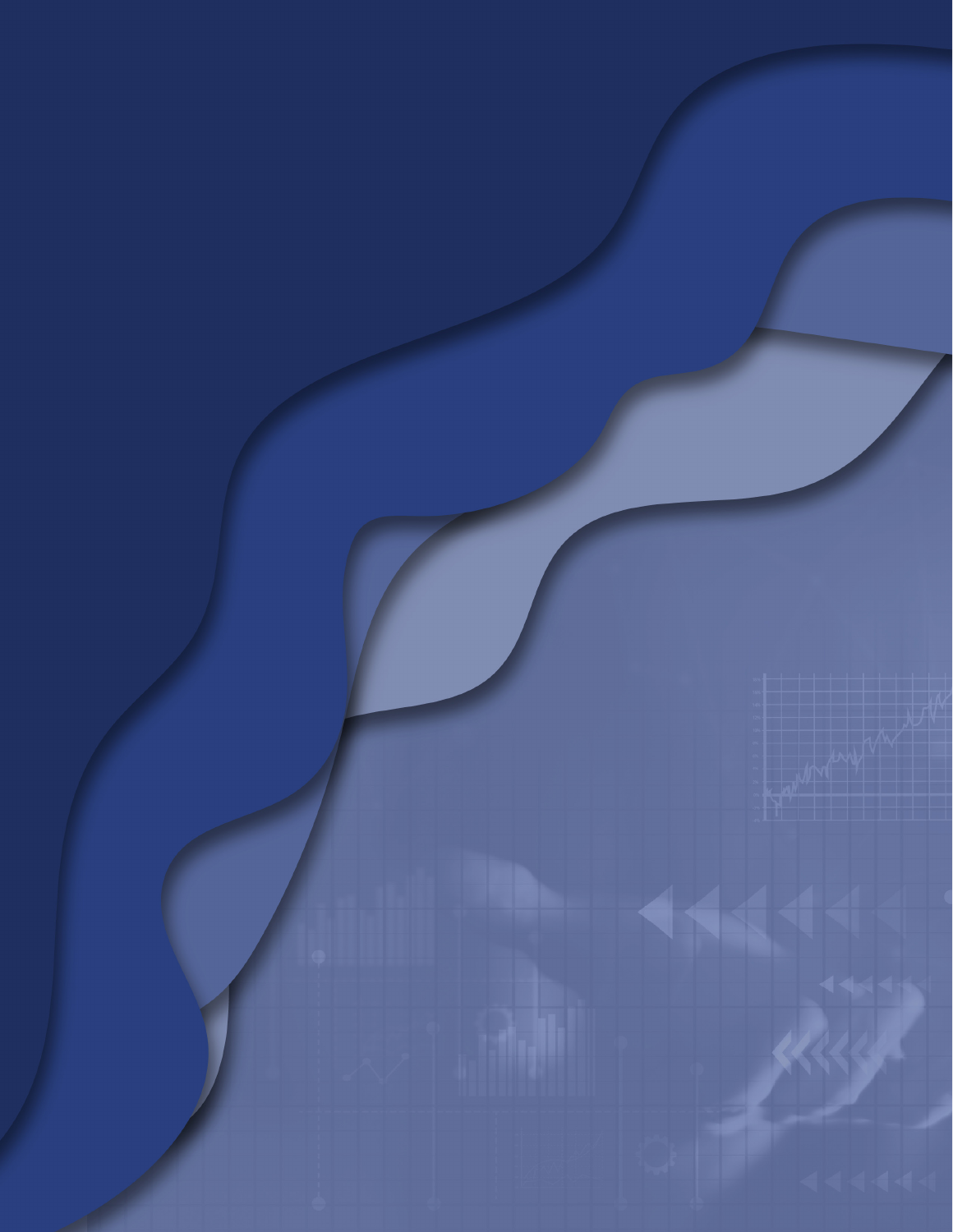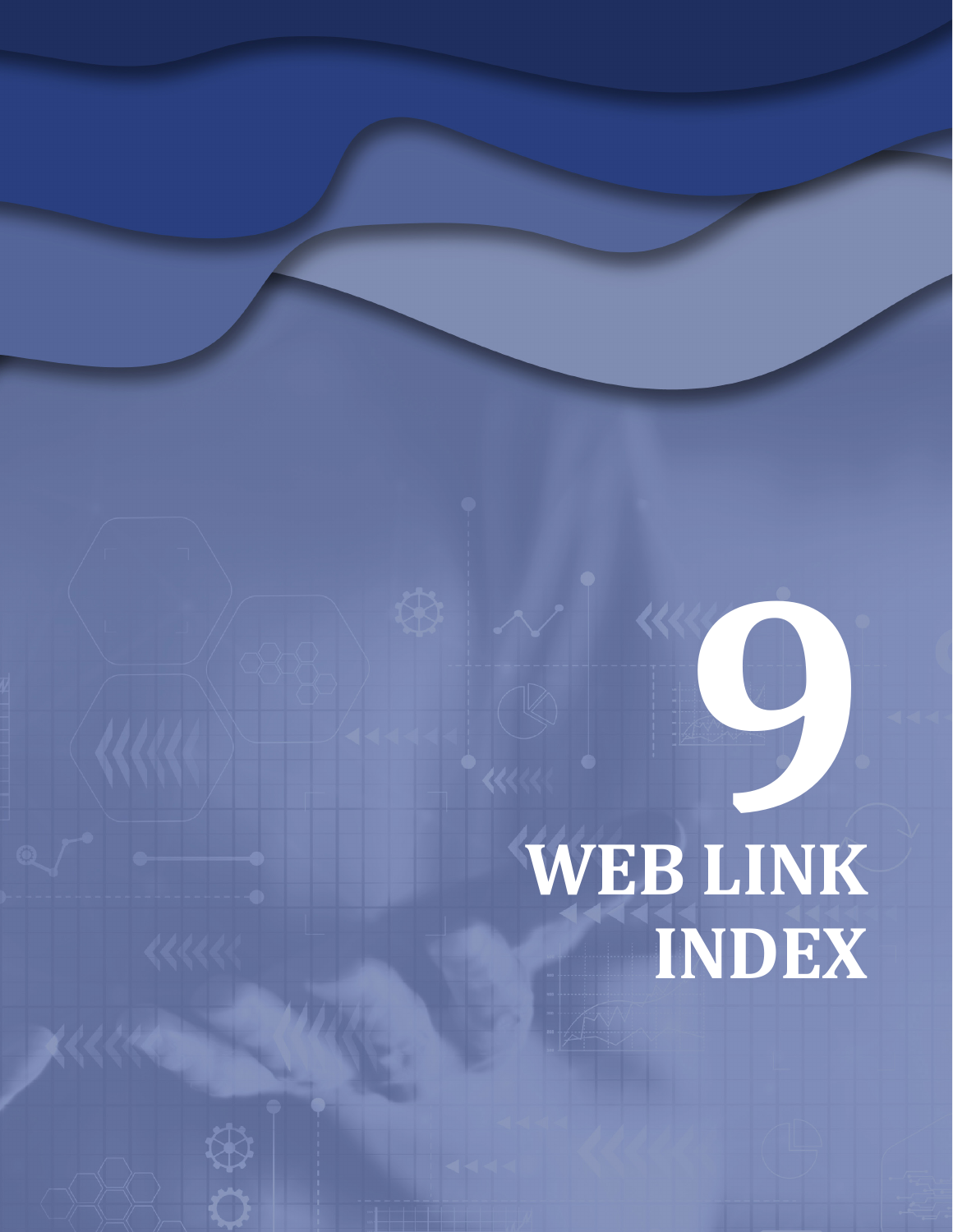# **WEB LINK INDEX**

**9**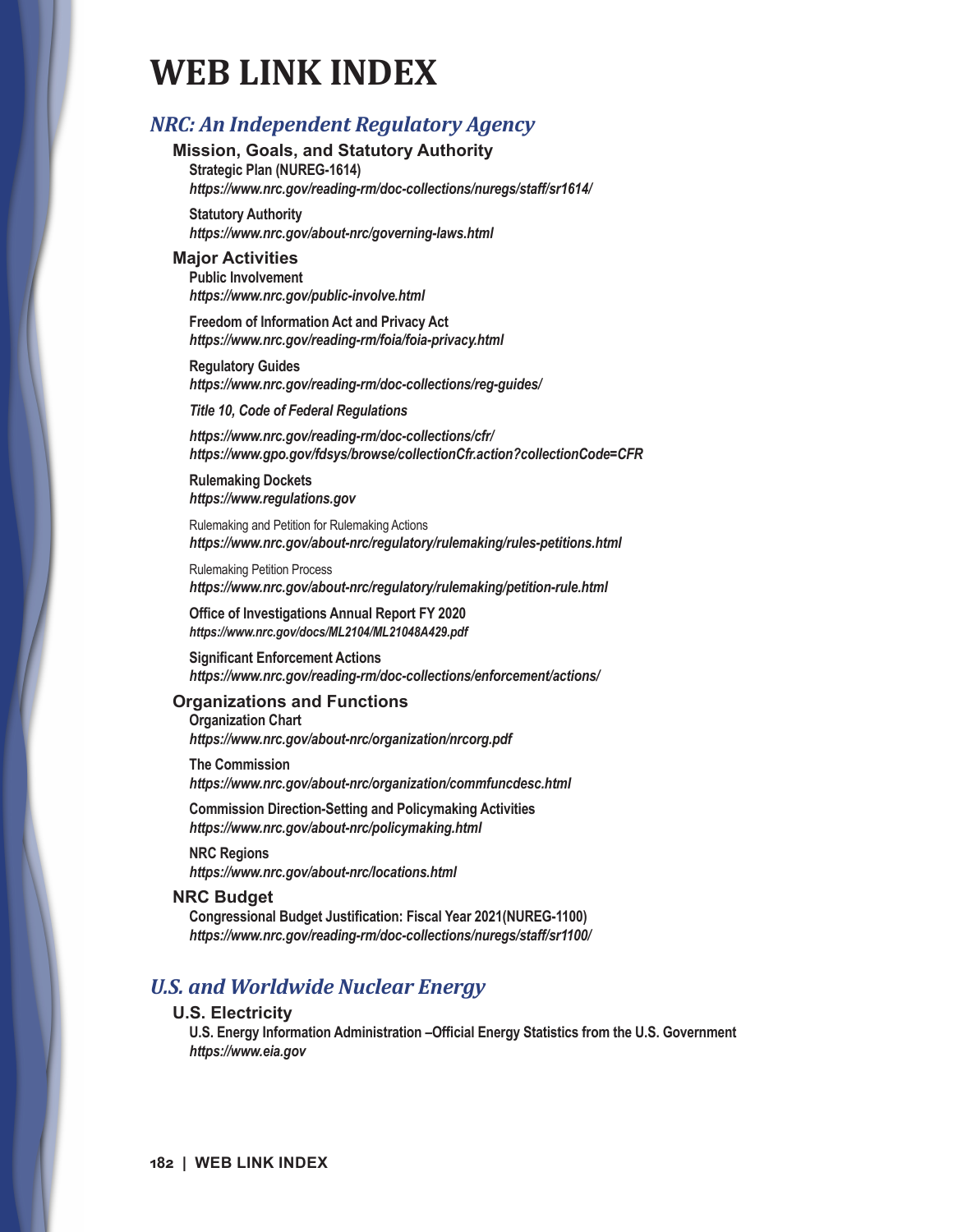# **WEB LINK INDEX**

# *NRC: An Independent Regulatory Agency*

**Mission, Goals, and Statutory Authority Strategic Plan (NUREG-1614)** *https://www.nrc.gov/reading-rm/doc-collections/nuregs/staff/sr1614/*  **Statutory Authority**

*https://www.nrc.gov/about-nrc/governing-laws.html* 

# **Major Activities**

**Public Involvement**  *https://www.nrc.gov/public-involve.html*

**Freedom of Information Act and Privacy Act**  *https://www.nrc.gov/reading-rm/foia/foia-privacy.html*

**Regulatory Guides**  *https://www.nrc.gov/reading-rm/doc-collections/reg-guides/*

*Title 10, Code of Federal Regulations* 

*https://www.nrc.gov/reading-rm/doc-collections/cfr/ https://www.gpo.gov/fdsys/browse/collectionCfr.action?collectionCode=CFR*

**Rulemaking Dockets**  *https://www.regulations.gov*

Rulemaking and Petition for Rulemaking Actions *https://www.nrc.gov/about-nrc/regulatory/rulemaking/rules-petitions.html*

Rulemaking Petition Process *https://www.nrc.gov/about-nrc/regulatory/rulemaking/petition-rule.html*

**Office of Investigations Annual Report FY 2020** *https://www.nrc.gov/docs/ML2104/ML21048A429.pdf* 

**Significant Enforcement Actions** *https://www.nrc.gov/reading-rm/doc-collections/enforcement/actions/*

# **Organizations and Functions**

**Organization Chart** *https://www.nrc.gov/about-nrc/organization/nrcorg.pdf*

**The Commission** *https://www.nrc.gov/about-nrc/organization/commfuncdesc.html*

**Commission Direction-Setting and Policymaking Activities**  *https://www.nrc.gov/about-nrc/policymaking.html*

**NRC Regions** *https://www.nrc.gov/about-nrc/locations.html*

### **NRC Budget**

**Congressional Budget Justification: Fiscal Year 2021(NUREG-1100)**  *https://www.nrc.gov/reading-rm/doc-collections/nuregs/staff/sr1100/*

# *U.S. and Worldwide Nuclear Energy*

### **U.S. Electricity**

**U.S. Energy Information Administration –Official Energy Statistics from the U.S. Government**  *https://www.eia.gov*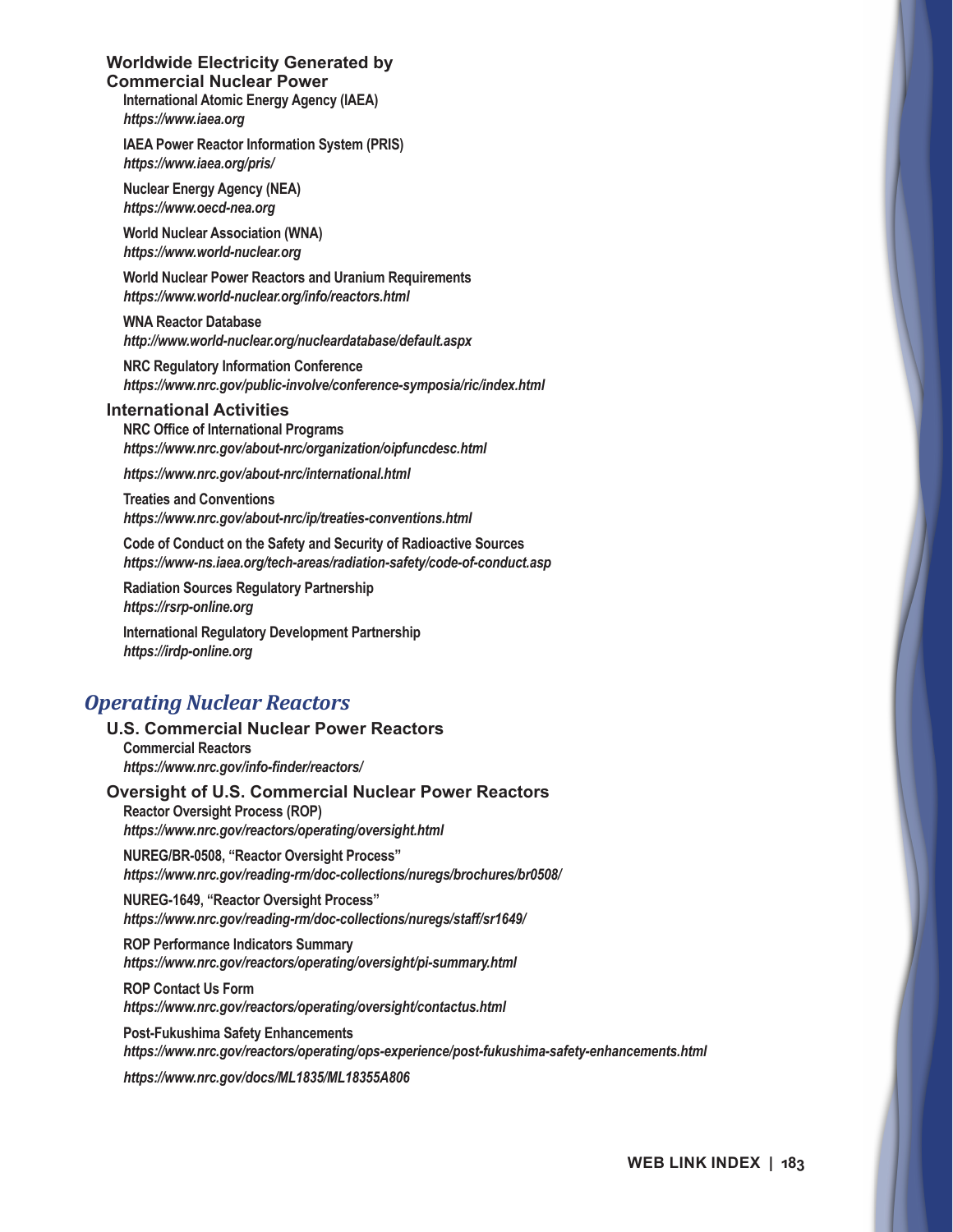# **Worldwide Electricity Generated by**

**Commercial Nuclear Power International Atomic Energy Agency (IAEA)**  *https://www.iaea.org*

**IAEA Power Reactor Information System (PRIS)**  *https://www.iaea.org/pris/*

**Nuclear Energy Agency (NEA)**  *https://www.oecd-nea.org*

**World Nuclear Association (WNA)**  *https://www.world-nuclear.org*

**World Nuclear Power Reactors and Uranium Requirements**  *https://www.world-nuclear.org/info/reactors.html*

**WNA Reactor Database** *http://www.world-nuclear.org/nucleardatabase/default.aspx*

**NRC Regulatory Information Conference**  *https://www.nrc.gov/public-involve/conference-symposia/ric/index.html*

# **International Activities**

**NRC Office of International Programs** *https://www.nrc.gov/about-nrc/organization/oipfuncdesc.html*

*https://www.nrc.gov/about-nrc/international.html*

**Treaties and Conventions** *https://www.nrc.gov/about-nrc/ip/treaties-conventions.html*

**Code of Conduct on the Safety and Security of Radioactive Sources** *https://www-ns.iaea.org/tech-areas/radiation-safety/code-of-conduct.asp* 

**Radiation Sources Regulatory Partnership** *https://rsrp-online.org*

**International Regulatory Development Partnership** *https://irdp-online.org*

# *Operating Nuclear Reactors*

**U.S. Commercial Nuclear Power Reactors Commercial Reactors**  *https://www.nrc.gov/info-finder/reactors/*

**Oversight of U.S. Commercial Nuclear Power Reactors Reactor Oversight Process (ROP)**  *https://www.nrc.gov/reactors/operating/oversight.html*

**NUREG/BR-0508, "Reactor Oversight Process"** *https://www.nrc.gov/reading-rm/doc-collections/nuregs/brochures/br0508/*

**NUREG-1649, "Reactor Oversight Process"**  *https://www.nrc.gov/reading-rm/doc-collections/nuregs/staff/sr1649/*

**ROP Performance Indicators Summary**  *https://www.nrc.gov/reactors/operating/oversight/pi-summary.html*

**ROP Contact Us Form** *https://www.nrc.gov/reactors/operating/oversight/contactus.html*

**Post-Fukushima Safety Enhancements** *https://www.nrc.gov/reactors/operating/ops-experience/post-fukushima-safety-enhancements.html*

*https://www.nrc.gov/docs/ML1835/ML18355A806*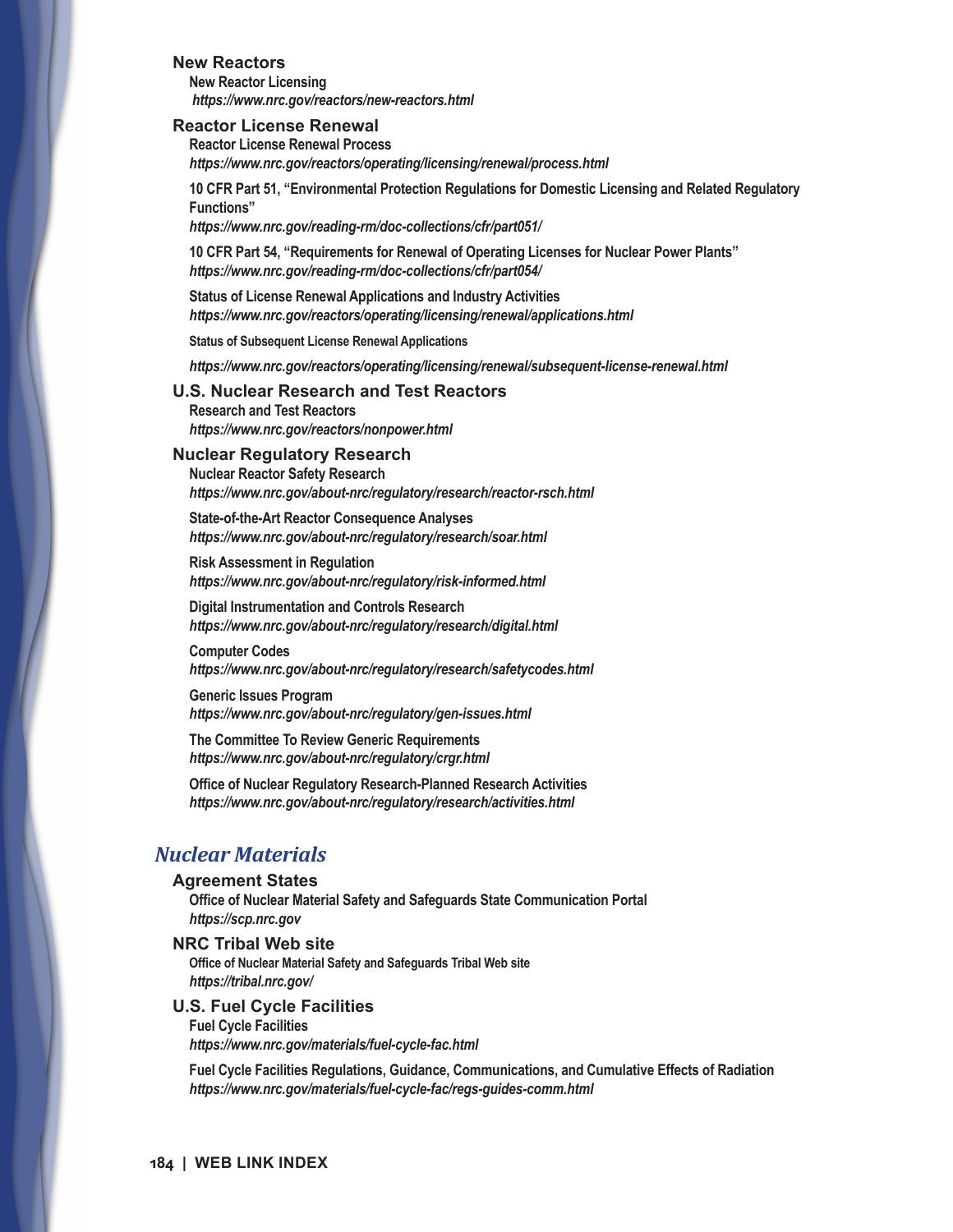### **New Reactors**

**New Reactor Licensing**  *https://www.nrc.gov/reactors/new-reactors.html*

### **Reactor License Renewal**

**Reactor License Renewal Process** 

*https://www.nrc.gov/reactors/operating/licensing/renewal/process.html*

**10 CFR Part 51, "Environmental Protection Regulations for Domestic Licensing and Related Regulatory Functions"**

*https://www.nrc.gov/reading-rm/doc-collections/cfr/part051/*

**10 CFR Part 54, "Requirements for Renewal of Operating Licenses for Nuclear Power Plants"** *https://www.nrc.gov/reading-rm/doc-collections/cfr/part054/*

**Status of License Renewal Applications and Industry Activities**  *https://www.nrc.gov/reactors/operating/licensing/renewal/applications.html*

**Status of Subsequent License Renewal Applications**

*https://www.nrc.gov/reactors/operating/licensing/renewal/subsequent-license-renewal.html*

### **U.S. Nuclear Research and Test Reactors**

**Research and Test Reactors**  *https://www.nrc.gov/reactors/nonpower.html*

# **Nuclear Regulatory Research**

**Nuclear Reactor Safety Research** *https://www.nrc.gov/about-nrc/regulatory/research/reactor-rsch.html*

**State-of-the-Art Reactor Consequence Analyses**  *https://www.nrc.gov/about-nrc/regulatory/research/soar.html*

**Risk Assessment in Regulation** *https://www.nrc.gov/about-nrc/regulatory/risk-informed.html*

**Digital Instrumentation and Controls Research** *https://www.nrc.gov/about-nrc/regulatory/research/digital.html*

**Computer Codes** *https://www.nrc.gov/about-nrc/regulatory/research/safetycodes.html* 

**Generic Issues Program** *https://www.nrc.gov/about-nrc/regulatory/gen-issues.html*

**The Committee To Review Generic Requirements**  *https://www.nrc.gov/about-nrc/regulatory/crgr.html*

**Office of Nuclear Regulatory Research-Planned Research Activities** *https://www.nrc.gov/about-nrc/regulatory/research/activities.html*

# *Nuclear Materials*

### **Agreement States**

**Office of Nuclear Material Safety and Safeguards State Communication Portal** *https://scp.nrc.gov*

**NRC Tribal Web site Office of Nuclear Material Safety and Safeguards Tribal Web site** *https://tribal.nrc.gov/*

**U.S. Fuel Cycle Facilities Fuel Cycle Facilities** *https://www.nrc.gov/materials/fuel-cycle-fac.html*

**Fuel Cycle Facilities Regulations, Guidance, Communications, and Cumulative Effects of Radiation** *https://www.nrc.gov/materials/fuel-cycle-fac/regs-guides-comm.html*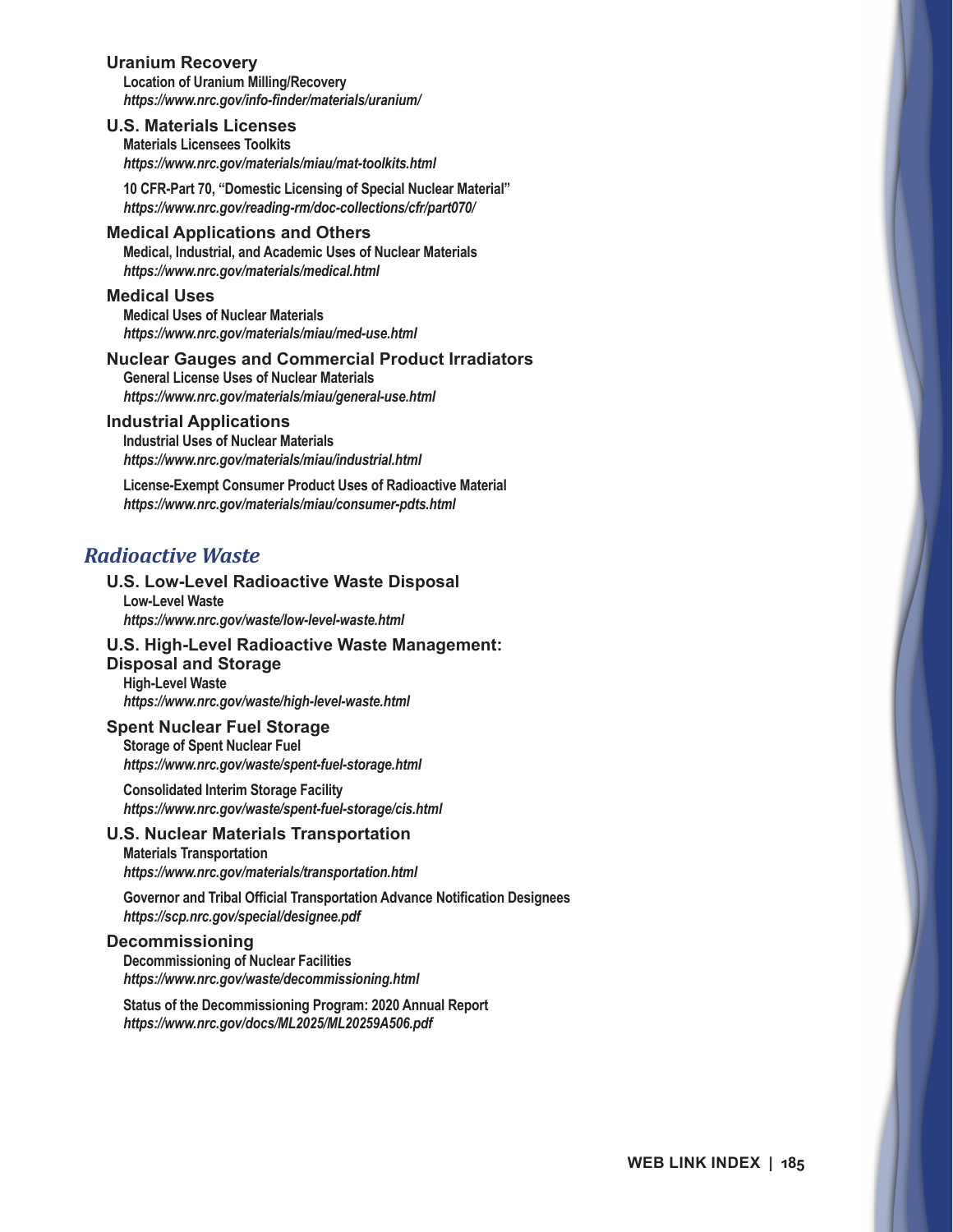# **Uranium Recovery**

**Location of Uranium Milling/Recovery**  *https://www.nrc.gov/info-finder/materials/uranium/*

# **U.S. Materials Licenses**

**Materials Licensees Toolkits**  *https://www.nrc.gov/materials/miau/mat-toolkits.html*

**10 CFR-Part 70, "Domestic Licensing of Special Nuclear Material"** *https://www.nrc.gov/reading-rm/doc-collections/cfr/part070/*

# **Medical Applications and Others**

**Medical, Industrial, and Academic Uses of Nuclear Materials**  *https://www.nrc.gov/materials/medical.html*

# **Medical Uses**

**Medical Uses of Nuclear Materials** *https://www.nrc.gov/materials/miau/med-use.html*

# **Nuclear Gauges and Commercial Product Irradiators**

**General License Uses of Nuclear Materials**  *https://www.nrc.gov/materials/miau/general-use.html*

### **Industrial Applications**

**Industrial Uses of Nuclear Materials** *https://www.nrc.gov/materials/miau/industrial.html*

**License-Exempt Consumer Product Uses of Radioactive Material** *https://www.nrc.gov/materials/miau/consumer-pdts.html*

# *Radioactive Waste*

# **U.S. Low-Level Radioactive Waste Disposal Low-Level Waste**  *https://www.nrc.gov/waste/low-level-waste.html*

# **U.S. High-Level Radioactive Waste Management:**

**Disposal and Storage High-Level Waste**  *https://www.nrc.gov/waste/high-level-waste.html*

# **Spent Nuclear Fuel Storage**

**Storage of Spent Nuclear Fuel**  *https://www.nrc.gov/waste/spent-fuel-storage.html*

**Consolidated Interim Storage Facility**  *https://www.nrc.gov/waste/spent-fuel-storage/cis.html*

# **U.S. Nuclear Materials Transportation**

**Materials Transportation**  *https://www.nrc.gov/materials/transportation.html*

**Governor and Tribal Official Transportation Advance Notification Designees** *https://scp.nrc.gov/special/designee.pdf*

# **Decommissioning**

**Decommissioning of Nuclear Facilities** *https://www.nrc.gov/waste/decommissioning.html*

**Status of the Decommissioning Program: 2020 Annual Report** *https://www.nrc.gov/docs/ML2025/ML20259A506.pdf*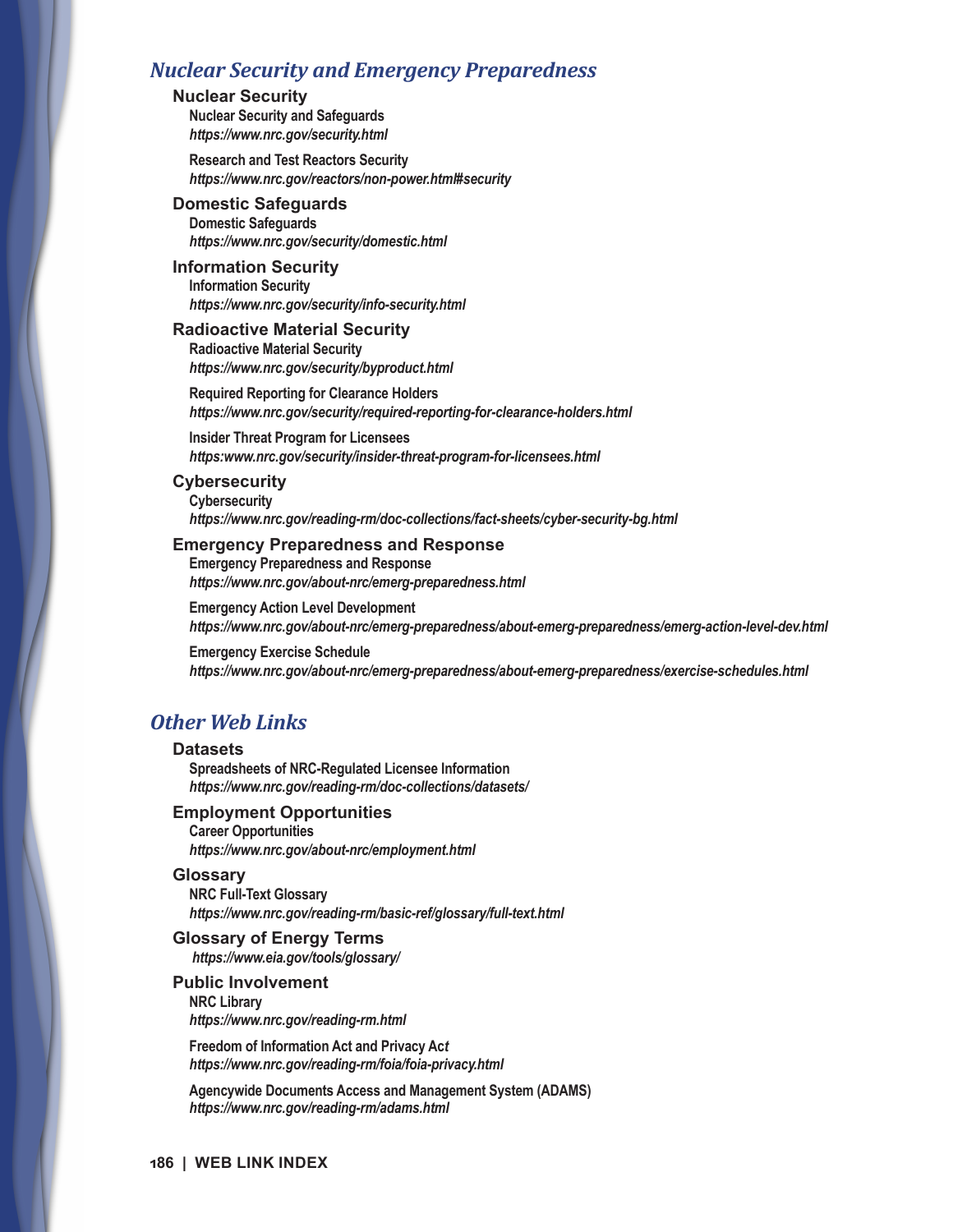# *Nuclear Security and Emergency Preparedness*

# **Nuclear Security Nuclear Security and Safeguards**  *https://www.nrc.gov/security.html*

**Research and Test Reactors Security**  *https://www.nrc.gov/reactors/non-power.html#security*

# **Domestic Safeguards**

**Domestic Safeguards**  *https://www.nrc.gov/security/domestic.html*

# **Information Security Information Security**  *https://www.nrc.gov/security/info-security.html*

**Radioactive Material Security Radioactive Material Security** *https://www.nrc.gov/security/byproduct.html*

**Required Reporting for Clearance Holders** *https://www.nrc.gov/security/required-reporting-for-clearance-holders.html*

**Insider Threat Program for Licensees** *https:www.nrc.gov/security/insider-threat-program-for-licensees.html*

# **Cybersecurity**

**Cybersecurity** *https://www.nrc.gov/reading-rm/doc-collections/fact-sheets/cyber-security-bg.html*

# **Emergency Preparedness and Response**

**Emergency Preparedness and Response**  *https://www.nrc.gov/about-nrc/emerg-preparedness.html*

**Emergency Action Level Development** *https://www.nrc.gov/about-nrc/emerg-preparedness/about-emerg-preparedness/emerg-action-level-dev.html*

**Emergency Exercise Schedule** *https://www.nrc.gov/about-nrc/emerg-preparedness/about-emerg-preparedness/exercise-schedules.html* 

# *Other Web Links*

# **Datasets**

**Spreadsheets of NRC-Regulated Licensee Information**  *https://www.nrc.gov/reading-rm/doc-collections/datasets/*

# **Employment Opportunities**

**Career Opportunities** *https://www.nrc.gov/about-nrc/employment.html*

### **Glossary**

**NRC Full-Text Glossary** *https://www.nrc.gov/reading-rm/basic-ref/glossary/full-text.html*

### **Glossary of Energy Terms**  *https://www.eia.gov/tools/glossary/*

### **Public Involvement NRC Library**

*https://www.nrc.gov/reading-rm.html*

**Freedom of Information Act and Privacy Ac***t https://www.nrc.gov/reading-rm/foia/foia-privacy.html*

**Agencywide Documents Access and Management System (ADAMS)**  *https://www.nrc.gov/reading-rm/adams.html*